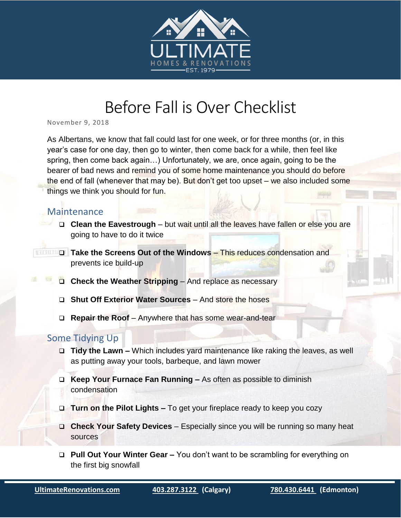

## Before Fall is Over Checklist

November 9, 2018

As Albertans, we know that fall could last for one week, or for three months (or, in this year's case for one day, then go to winter, then come back for a while, then feel like spring, then come back again…) Unfortunately, we are, once again, going to be the bearer of bad news and remind you of some home maintenance you should do before the end of fall (whenever that may be). But don't get too upset – we also included some things we think you should for fun.

## Maintenance

- □ Clean the Eavestrough but wait until all the leaves have fallen or else you are going to have to do it twice
- **Take the Screens Out of the Windows** This reduces condensation and prevents ice build-up
	- **Check the Weather Stripping** And replace as necessary
	- **Shut Off Exterior Water Sources** And store the hoses
	- **Repair the Roof** Anywhere that has some wear-and-tear

## Some Tidying Up

- **Tidy the Lawn –** Which includes yard maintenance like raking the leaves, as well as putting away your tools, barbeque, and lawn mower
- **Keep Your Furnace Fan Running –** As often as possible to diminish condensation
- □ Turn on the Pilot Lights To get your fireplace ready to keep you cozy
- **Check Your Safety Devices**  Especially since you will be running so many heat sources
- **Pull Out Your Winter Gear –** You don't want to be scrambling for everything on the first big snowfall

i<br>I